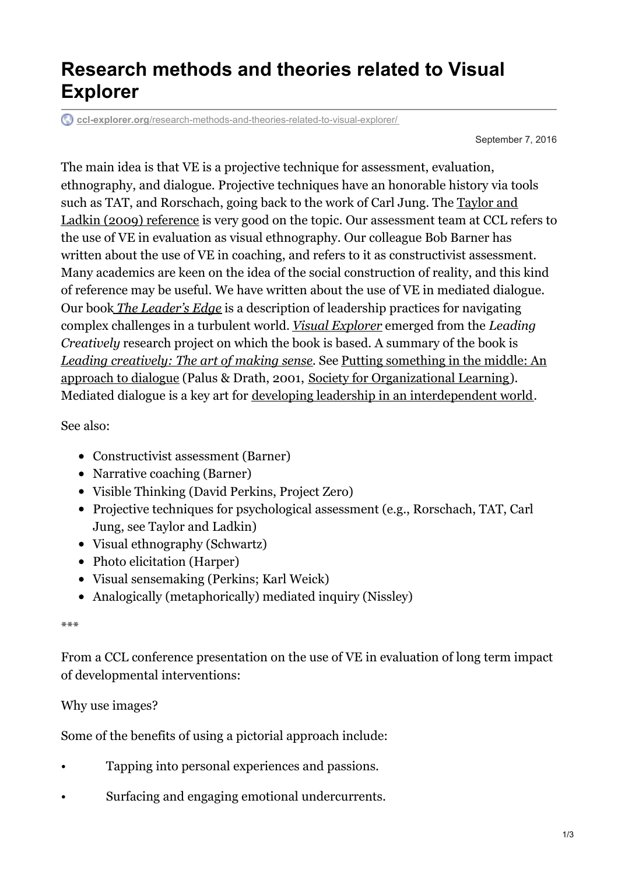## **Research methods and theories related to Visual Explorer**

**ccl-explorer.org**[/research-methods-and-theories-related-to-visual-explorer/](https://ccl-explorer.org/research-methods-and-theories-related-to-visual-explorer/)

September 7, 2016

The main idea is that VE is a projective technique for assessment, evaluation, ethnography, and dialogue. Projective techniques have an honorable history via tools such as TAT, and [Rorschach,](http://www.academia.edu/16428106/Taylor_S.S._and_Ladkin_D._2009._Understanding_arts-based_methods_in_managerial_development_Academy_of_Management_Learning_and_Education._Vol._8_1_pp._55-69) going back to the work of Carl Jung. The Taylor and Ladkin (2009) reference is very good on the topic. Our assessment team at CCL refers to the use of VE in evaluation as visual ethnography. Our colleague Bob Barner has written about the use of VE in coaching, and refers to it as constructivist assessment. Many academics are keen on the idea of the social construction of reality, and this kind of reference may be useful. We have written about the use of VE in mediated dialogue. Our book *The [Leader's](http://www.amazon.com/Leaders-Edge-Competencies-Navigating-Challenges/dp/0787909998/ref=sr_1_1?s=books&ie=UTF8&qid=1328038256&sr=1-1) Edge* is a description of leadership practices for navigating complex challenges in a turbulent world. *Visual [Explorer](http://cclexpprod.wpengine.com/category/visualexplorer/)* emerged from the *Leading Creatively* research project on which the book is based. A summary of the book is *Leading [creatively:](http://sites.google.com/site/explorerresources/Home/LeadingCreativelyIveyfinal2005.pdf?attredirects=0) The art of making sense.* See Putting something in the middle: An approach to dialogue (Palus & Drath, 2001, Society for [Organizational](http://www.solonline.org/reflections/browse/search?search_term=palus) Learning). Mediated dialogue is a key art for developing leadership in an [interdependent](http://cclexpprod.wpengine.com/wp-content/uploads/2012/03/HBS-chapter-SUMMARY-2-23-12.pdf) world.

See also:

- Constructivist assessment (Barner)
- Narrative coaching (Barner)
- Visible Thinking (David Perkins, Project Zero)
- Projective techniques for psychological assessment (e.g., Rorschach, TAT, Carl Jung, see Taylor and Ladkin)
- Visual ethnography (Schwartz)
- Photo elicitation (Harper)
- Visual sensemaking (Perkins; Karl Weick)
- Analogically (metaphorically) mediated inquiry (Nissley)

## \*\*\*

From a CCL conference presentation on the use of VE in evaluation of long term impact of developmental interventions:

## Why use images?

Some of the benefits of using a pictorial approach include:

- Tapping into personal experiences and passions.
- Surfacing and engaging emotional undercurrents.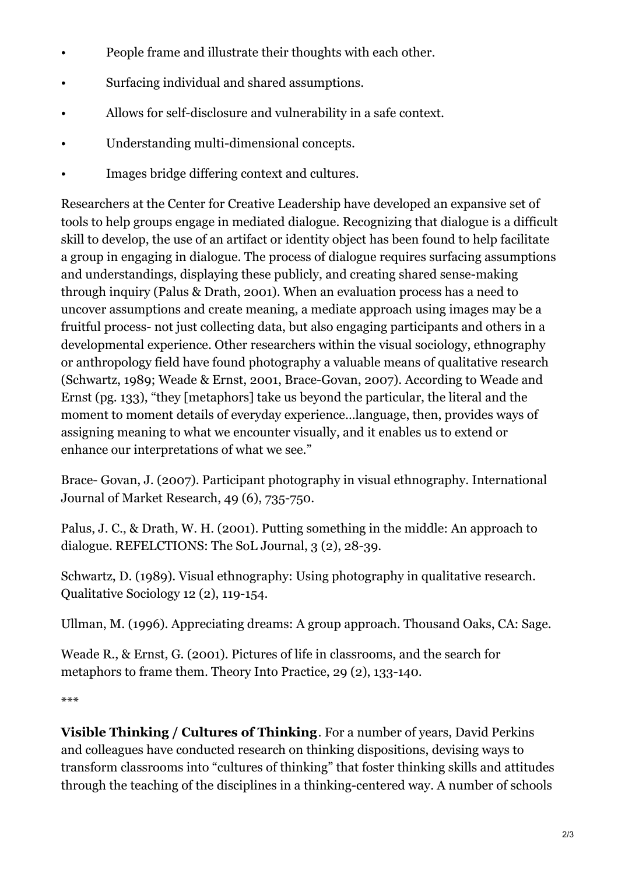- People frame and illustrate their thoughts with each other.
- Surfacing individual and shared assumptions.
- Allows for self-disclosure and vulnerability in a safe context.
- Understanding multi-dimensional concepts.
- Images bridge differing context and cultures.

Researchers at the Center for Creative Leadership have developed an expansive set of tools to help groups engage in mediated dialogue. Recognizing that dialogue is a difficult skill to develop, the use of an artifact or identity object has been found to help facilitate a group in engaging in dialogue. The process of dialogue requires surfacing assumptions and understandings, displaying these publicly, and creating shared sense-making through inquiry (Palus & Drath, 2001). When an evaluation process has a need to uncover assumptions and create meaning, a mediate approach using images may be a fruitful process- not just collecting data, but also engaging participants and others in a developmental experience. Other researchers within the visual sociology, ethnography or anthropology field have found photography a valuable means of qualitative research (Schwartz, 1989; Weade & Ernst, 2001, Brace-Govan, 2007). According to Weade and Ernst (pg. 133), "they [metaphors] take us beyond the particular, the literal and the moment to moment details of everyday experience…language, then, provides ways of assigning meaning to what we encounter visually, and it enables us to extend or enhance our interpretations of what we see."

Brace- Govan, J. (2007). Participant photography in visual ethnography. International Journal of Market Research, 49 (6), 735-750.

Palus, J. C., & Drath, W. H. (2001). Putting something in the middle: An approach to dialogue. REFELCTIONS: The SoL Journal, 3 (2), 28-39.

Schwartz, D. (1989). Visual ethnography: Using photography in qualitative research. Qualitative Sociology 12 (2), 119-154.

Ullman, M. (1996). Appreciating dreams: A group approach. Thousand Oaks, CA: Sage.

Weade R., & Ernst, G. (2001). Pictures of life in classrooms, and the search for metaphors to frame them. Theory Into Practice, 29 (2), 133-140.

\*\*\*

**Visible Thinking / Cultures of Thinking**. For a number of years, David Perkins and colleagues have conducted research on thinking dispositions, devising ways to transform classrooms into "cultures of thinking" that foster thinking skills and attitudes through the teaching of the disciplines in a thinking-centered way. A number of schools